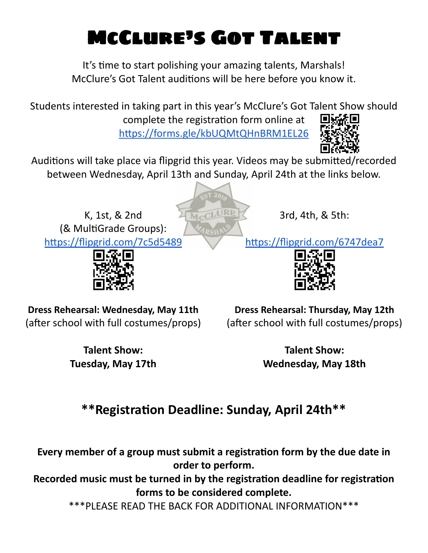## McClure's Got Talent

It's time to start polishing your amazing talents, Marshals! McClure's Got Talent auditions will be here before you know it.

Students interested in taking part in this year's McClure's Got Talent Show should

complete the registration form online at

https://forms.gle/kbUQMtQHnBRM1EL26



Auditions will take place via flipgrid this year. Videos may be submitted/recorded between Wednesday, April 13th and Sunday, April 24th at the links below.

McCLURE

K, 1st, & 2nd (& MultiGrade Groups): https://flipgrid.com/7c5d5489



3rd, 4th, & 5th:

https://flipgrid.com/6747dea7



**Dress Rehearsal: Wednesday, May 11th** (after school with full costumes/props)

**Dress Rehearsal: Thursday, May 12th** (after school with full costumes/props)

**Talent Show: Tuesday, May 17th**

**Talent Show: Wednesday, May 18th**

## **\*\*Registraon Deadline: Sunday, April 24th\*\***

**Every member of a group must submit a registraon form by the due date in order to perform.**

**Recorded music must be turned in by the registraon deadline for registraon forms to be considered complete.**

\*\*\*PLEASE READ THE BACK FOR ADDITIONAL INFORMATION\*\*\*